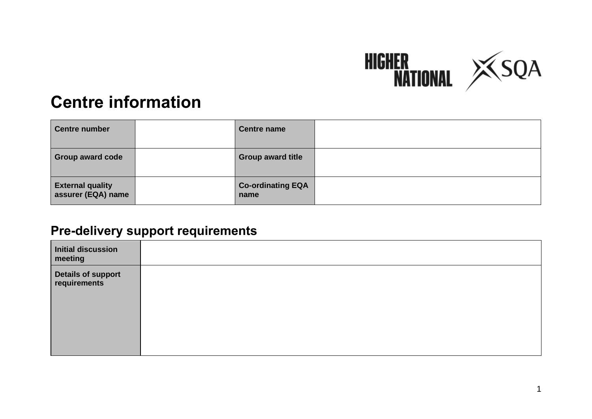

# **Centre information**

| <b>Centre number</b>                          | <b>Centre name</b>               |  |
|-----------------------------------------------|----------------------------------|--|
| <b>Group award code</b>                       | <b>Group award title</b>         |  |
| <b>External quality</b><br>assurer (EQA) name | <b>Co-ordinating EQA</b><br>name |  |

#### **Pre-delivery support requirements**

| Initial discussion<br>meeting      |  |
|------------------------------------|--|
| Details of support<br>requirements |  |
|                                    |  |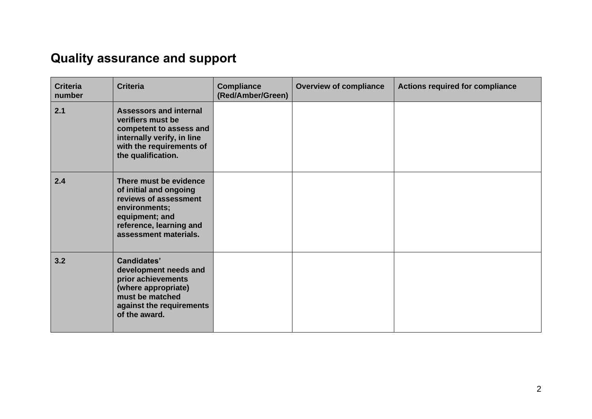## **Quality assurance and support**

| <b>Criteria</b><br>number | <b>Criteria</b>                                                                                                                                                  | <b>Compliance</b><br>(Red/Amber/Green) | <b>Overview of compliance</b> | <b>Actions required for compliance</b> |
|---------------------------|------------------------------------------------------------------------------------------------------------------------------------------------------------------|----------------------------------------|-------------------------------|----------------------------------------|
| 2.1                       | <b>Assessors and internal</b><br>verifiers must be<br>competent to assess and<br>internally verify, in line<br>with the requirements of<br>the qualification.    |                                        |                               |                                        |
| 2.4                       | There must be evidence<br>of initial and ongoing<br>reviews of assessment<br>environments;<br>equipment; and<br>reference, learning and<br>assessment materials. |                                        |                               |                                        |
| 3.2                       | <b>Candidates'</b><br>development needs and<br>prior achievements<br>(where appropriate)<br>must be matched<br>against the requirements<br>of the award.         |                                        |                               |                                        |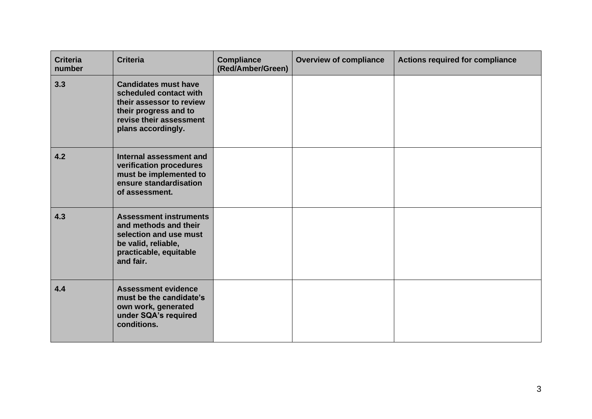| <b>Criteria</b><br>number | <b>Criteria</b>                                                                                                                                             | <b>Compliance</b><br>(Red/Amber/Green) | <b>Overview of compliance</b> | <b>Actions required for compliance</b> |
|---------------------------|-------------------------------------------------------------------------------------------------------------------------------------------------------------|----------------------------------------|-------------------------------|----------------------------------------|
| 3.3                       | <b>Candidates must have</b><br>scheduled contact with<br>their assessor to review<br>their progress and to<br>revise their assessment<br>plans accordingly. |                                        |                               |                                        |
| 4.2                       | Internal assessment and<br>verification procedures<br>must be implemented to<br>ensure standardisation<br>of assessment.                                    |                                        |                               |                                        |
| 4.3                       | <b>Assessment instruments</b><br>and methods and their<br>selection and use must<br>be valid, reliable,<br>practicable, equitable<br>and fair.              |                                        |                               |                                        |
| 4.4                       | <b>Assessment evidence</b><br>must be the candidate's<br>own work, generated<br>under SQA's required<br>conditions.                                         |                                        |                               |                                        |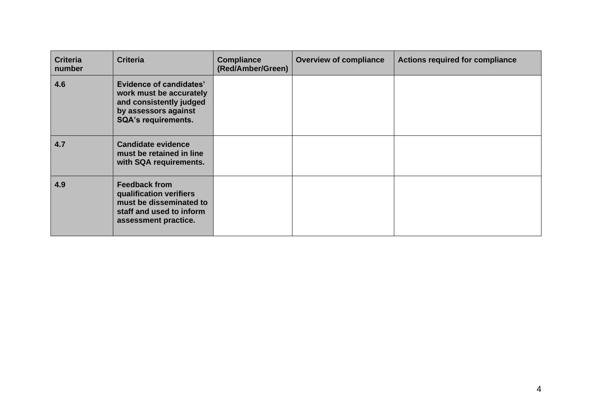| <b>Criteria</b><br>number | <b>Criteria</b>                                                                                                                            | <b>Compliance</b><br>(Red/Amber/Green) | <b>Overview of compliance</b> | <b>Actions required for compliance</b> |
|---------------------------|--------------------------------------------------------------------------------------------------------------------------------------------|----------------------------------------|-------------------------------|----------------------------------------|
| 4.6                       | <b>Evidence of candidates'</b><br>work must be accurately<br>and consistently judged<br>by assessors against<br><b>SQA's requirements.</b> |                                        |                               |                                        |
| 4.7                       | <b>Candidate evidence</b><br>must be retained in line<br>with SQA requirements.                                                            |                                        |                               |                                        |
| 4.9                       | <b>Feedback from</b><br>qualification verifiers<br>must be disseminated to<br>staff and used to inform<br>assessment practice.             |                                        |                               |                                        |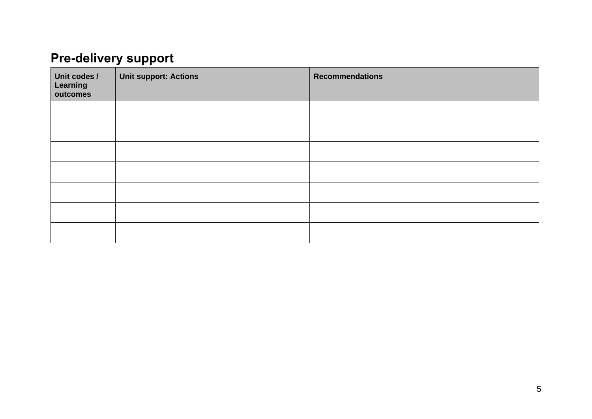### **Pre-delivery support**

| Unit codes /<br>Learning<br>outcomes | <b>Unit support: Actions</b> | <b>Recommendations</b> |
|--------------------------------------|------------------------------|------------------------|
|                                      |                              |                        |
|                                      |                              |                        |
|                                      |                              |                        |
|                                      |                              |                        |
|                                      |                              |                        |
|                                      |                              |                        |
|                                      |                              |                        |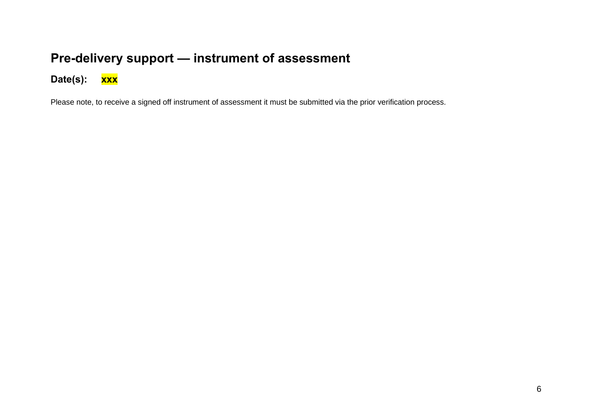#### **Pre-delivery support — instrument of assessment**

**Date(s): xxx**

Please note, to receive a signed off instrument of assessment it must be submitted via the prior verification process.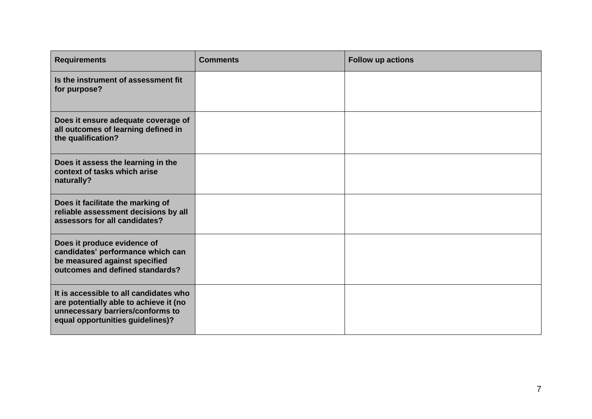| <b>Requirements</b>                                                                                                                                      | <b>Comments</b> | Follow up actions |
|----------------------------------------------------------------------------------------------------------------------------------------------------------|-----------------|-------------------|
| Is the instrument of assessment fit<br>for purpose?                                                                                                      |                 |                   |
| Does it ensure adequate coverage of<br>all outcomes of learning defined in<br>the qualification?                                                         |                 |                   |
| Does it assess the learning in the<br>context of tasks which arise<br>naturally?                                                                         |                 |                   |
| Does it facilitate the marking of<br>reliable assessment decisions by all<br>assessors for all candidates?                                               |                 |                   |
| Does it produce evidence of<br>candidates' performance which can<br>be measured against specified<br>outcomes and defined standards?                     |                 |                   |
| It is accessible to all candidates who<br>are potentially able to achieve it (no<br>unnecessary barriers/conforms to<br>equal opportunities guidelines)? |                 |                   |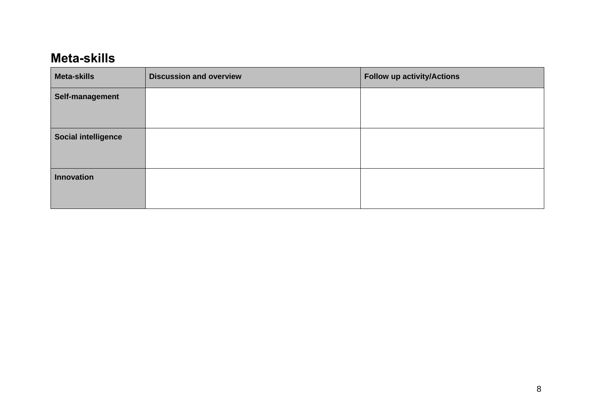#### **Meta-skills**

| <b>Meta-skills</b>         | <b>Discussion and overview</b> | <b>Follow up activity/Actions</b> |
|----------------------------|--------------------------------|-----------------------------------|
| Self-management            |                                |                                   |
|                            |                                |                                   |
| <b>Social intelligence</b> |                                |                                   |
|                            |                                |                                   |
| <b>Innovation</b>          |                                |                                   |
|                            |                                |                                   |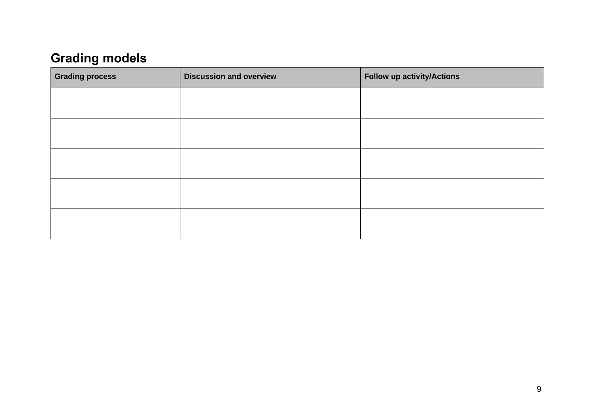### **Grading models**

| <b>Grading process</b> | <b>Discussion and overview</b> | <b>Follow up activity/Actions</b> |
|------------------------|--------------------------------|-----------------------------------|
|                        |                                |                                   |
|                        |                                |                                   |
|                        |                                |                                   |
|                        |                                |                                   |
|                        |                                |                                   |
|                        |                                |                                   |
|                        |                                |                                   |
|                        |                                |                                   |